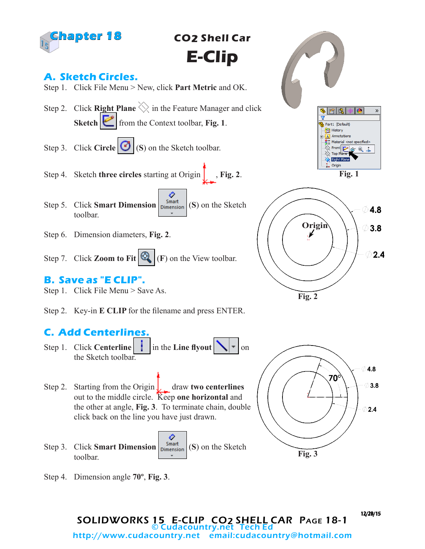

**CO2 Shell Car E-Clip**

## **A. Sketch Circles.**



- Step 2. Click **Right Plane**  $\Diamond$  in the Feature Manager and click **Sketch from** the Context toolbar, **Fig. 1**.
- Step 3. Click **Circle**  $\bigotimes$  (S) on the Sketch toolbar.
- Step 4. Sketch **three circles** starting at Origin  $\int$ , **Fig. 2**.
- ♦ Step 5. Click **Smart Dimension**  $\begin{bmatrix}$  Smart (S) on the Sketch toolbar.
- Step 6. Dimension diameters, **Fig. 2**.
- Step 7. Click **Zoom to Fit**  $\mathbb{Q}_\bullet$  (**F**) on the View toolbar.

### **B. Save as "E CLIP".**

- Step 1. Click File Menu > Save As.
- Step 2. Key-in **E CLIP** for the filename and press ENTER.

# **C. Add Centerlines.**

- Step 1. Click **Centerline**  $\begin{bmatrix} \vdots \\ \vdots \end{bmatrix}$  in the **Line flyout**  $\begin{bmatrix} \searrow \\ \searrow \end{bmatrix}$  on the Sketch toolbar.
- Step 2. Starting from the Origin draw **two centerlines** out to the middle circle. Keep **one horizontal** and the other at angle, **Fig. 3**. To terminate chain, double click back on the line you have just drawn.
- ⊘ Step 3. Click **Smart Dimension**  $\begin{bmatrix} \text{Smat} \\ \text{Dimension} \end{bmatrix}$  (S) on the Sketch toolbar.
- Step 4. Dimension angle **70º**, **Fig. 3**.

**Origin**  $3.8$  $2.4$ **Fig. 2**

**Fig. 1**

Part1 (Default) History A Annotations  $3$  = Material <not specified> <sup>◇</sup>Front 2 6 2 4

 $\leftrightarrow$  Right 1. Origin  $\mathcal{D}$ 

4.8



SOLIDWORKS 15 E-CLIP CO2 SHELL CAR PAGE 18-1<br>© Cudacountry.net Tech Ed http://www.cudacountry.net email:cudacountry@hotmail.com

12/28/15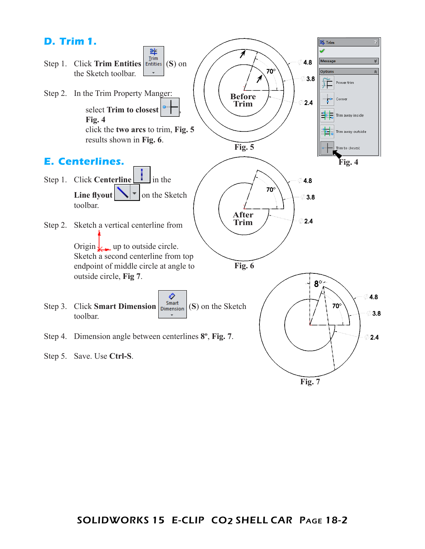

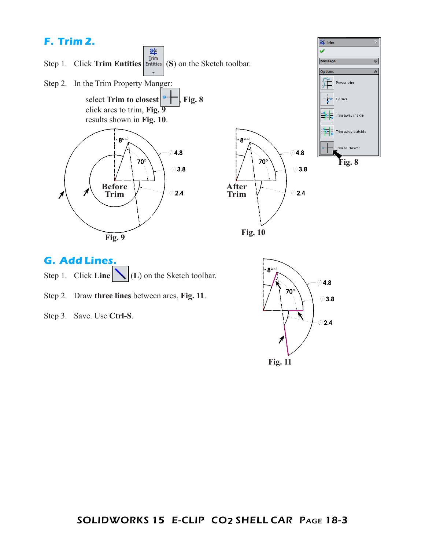# **F. Trim 2.**



- Step 1. Click **Line** (L) on the Sketch toolbar.
- Step 2. Draw **three lines** between arcs, **Fig. 11**.
- Step 3. Save. Use **Ctrl-S**.

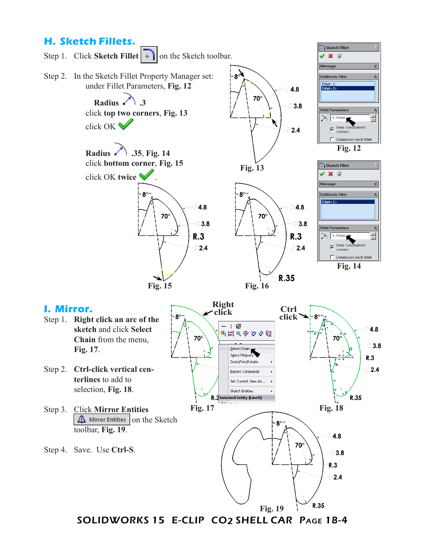#### **H. Sketch Fillets.**



SOLIDWORKS 15 E-CLIP CO2 SHELL CAR Page 18-4